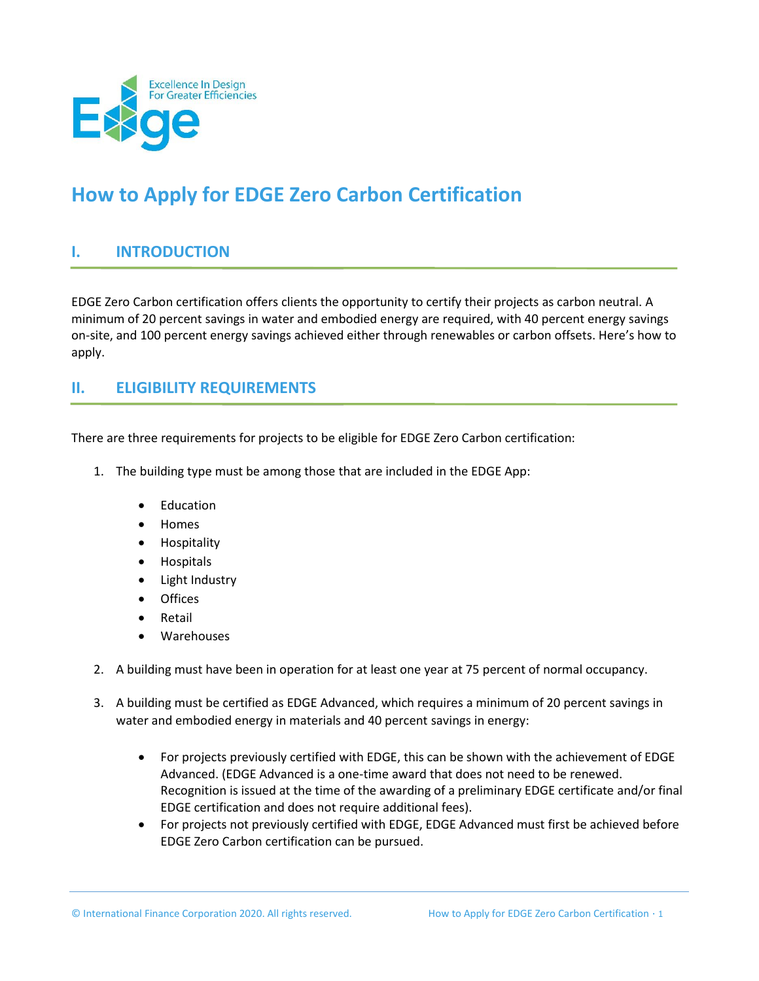

# **How to Apply for EDGE Zero Carbon Certification**

# **I. INTRODUCTION**

EDGE Zero Carbon certification offers clients the opportunity to certify their projects as carbon neutral. A minimum of 20 percent savings in water and embodied energy are required, with 40 percent energy savings on-site, and 100 percent energy savings achieved either through renewables or carbon offsets. Here's how to apply.

# **II. ELIGIBILITY REQUIREMENTS**

There are three requirements for projects to be eligible for EDGE Zero Carbon certification:

- 1. The building type must be among those that are included in the EDGE App:
	- Education
	- Homes
	- Hospitality
	- Hospitals
	- Light Industry
	- **Offices**
	- Retail
	- Warehouses
- 2. A building must have been in operation for at least one year at 75 percent of normal occupancy.
- 3. A building must be certified as EDGE Advanced, which requires a minimum of 20 percent savings in water and embodied energy in materials and 40 percent savings in energy:
	- For projects previously certified with EDGE, this can be shown with the achievement of EDGE Advanced. (EDGE Advanced is a one-time award that does not need to be renewed. Recognition is issued at the time of the awarding of a preliminary EDGE certificate and/or final EDGE certification and does not require additional fees).
	- For projects not previously certified with EDGE, EDGE Advanced must first be achieved before EDGE Zero Carbon certification can be pursued.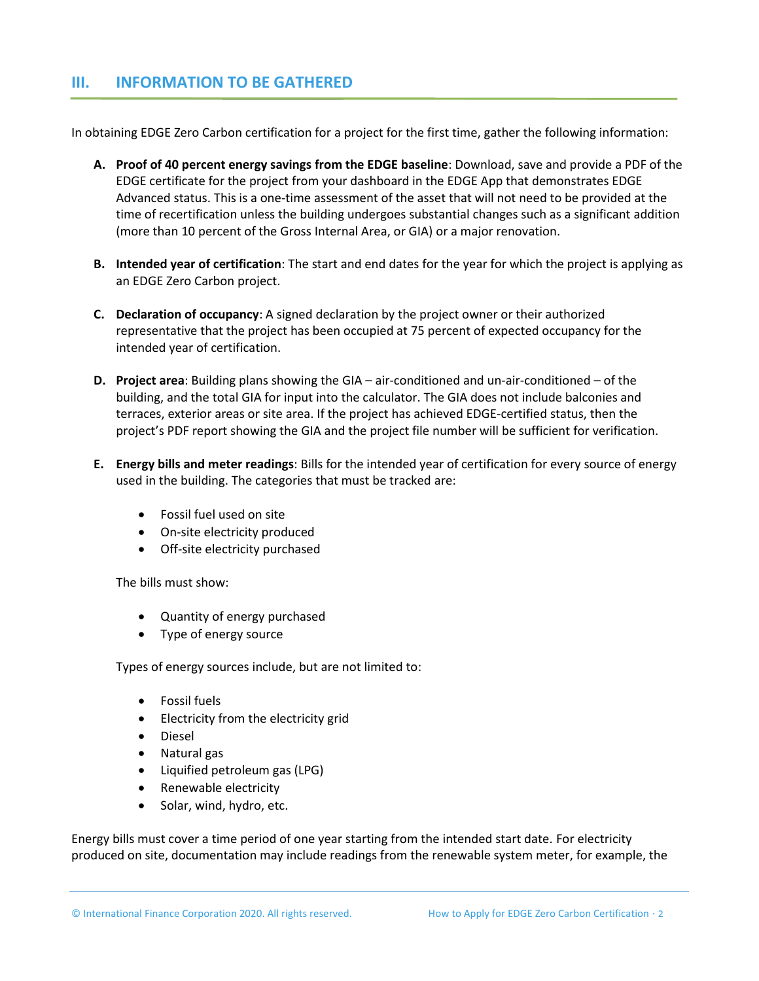#### **III. INFORMATION TO BE GATHERED**

In obtaining EDGE Zero Carbon certification for a project for the first time, gather the following information:

- **A. Proof of 40 percent energy savings from the EDGE baseline**: Download, save and provide a PDF of the EDGE certificate for the project from your dashboard in the EDGE App that demonstrates EDGE Advanced status. This is a one-time assessment of the asset that will not need to be provided at the time of recertification unless the building undergoes substantial changes such as a significant addition (more than 10 percent of the Gross Internal Area, or GIA) or a major renovation.
- **B. Intended year of certification**: The start and end dates for the year for which the project is applying as an EDGE Zero Carbon project.
- **C. Declaration of occupancy**: A signed declaration by the project owner or their authorized representative that the project has been occupied at 75 percent of expected occupancy for the intended year of certification.
- **D. Project area**: Building plans showing the GIA air-conditioned and un-air-conditioned of the building, and the total GIA for input into the calculator. The GIA does not include balconies and terraces, exterior areas or site area. If the project has achieved EDGE-certified status, then the project's PDF report showing the GIA and the project file number will be sufficient for verification.
- **E. Energy bills and meter readings**: Bills for the intended year of certification for every source of energy used in the building. The categories that must be tracked are:
	- Fossil fuel used on site
	- On-site electricity produced
	- Off-site electricity purchased

The bills must show:

- Quantity of energy purchased
- Type of energy source

Types of energy sources include, but are not limited to:

- Fossil fuels
- Electricity from the electricity grid
- Diesel
- Natural gas
- Liquified petroleum gas (LPG)
- Renewable electricity
- Solar, wind, hydro, etc.

Energy bills must cover a time period of one year starting from the intended start date. For electricity produced on site, documentation may include readings from the renewable system meter, for example, the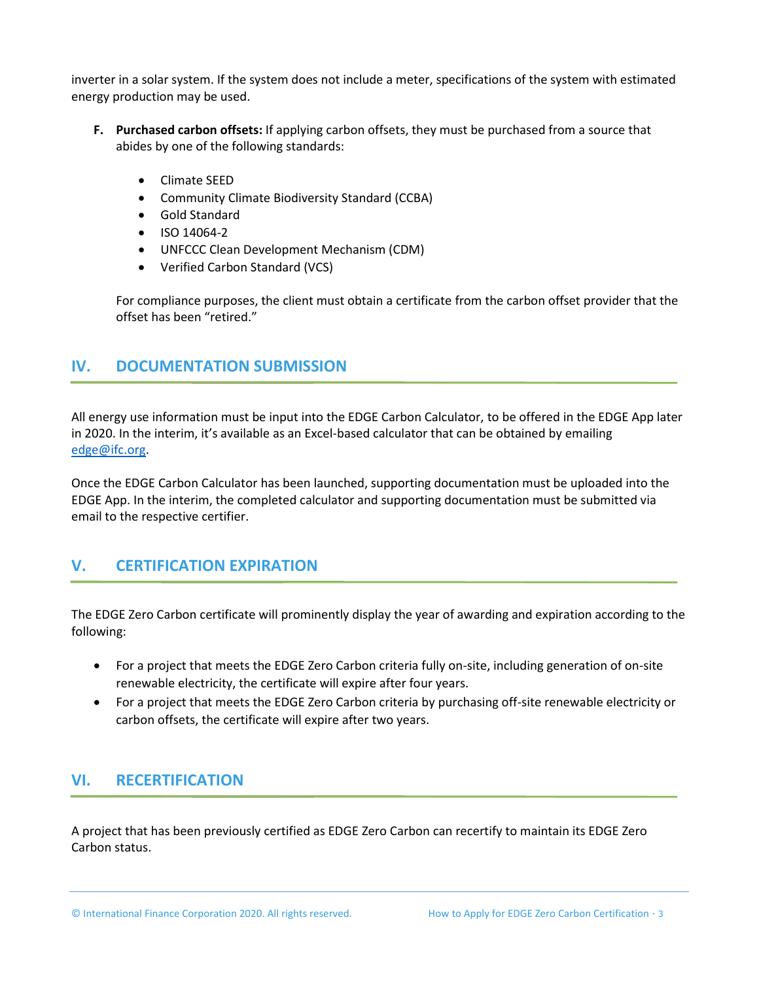inverter in a solar system. If the system does not include a meter, specifications of the system with estimated energy production may be used.

- **F. Purchased carbon offsets:** If applying carbon offsets, they must be purchased from a source that abides by one of the following standards:
	- Climate SEED
	- Community Climate Biodiversity Standard (CCBA)
	- Gold Standard
	- ISO 14064-2
	- UNFCCC Clean Development Mechanism (CDM)
	- Verified Carbon Standard (VCS)

For compliance purposes, the client must obtain a certificate from the carbon offset provider that the offset has been "retired."

### **IV. DOCUMENTATION SUBMISSION**

All energy use information must be input into the EDGE Carbon Calculator, to be offered in the EDGE App later in 2020. In the interim, it's available as an Excel-based calculator that can be obtained by emailing [edge@ifc.org.](mailto:edge@ifc.org)

Once the EDGE Carbon Calculator has been launched, supporting documentation must be uploaded into the EDGE App. In the interim, the completed calculator and supporting documentation must be submitted via email to the respective certifier.

# **V. CERTIFICATION EXPIRATION**

The EDGE Zero Carbon certificate will prominently display the year of awarding and expiration according to the following:

- For a project that meets the EDGE Zero Carbon criteria fully on-site, including generation of on-site renewable electricity, the certificate will expire after four years.
- For a project that meets the EDGE Zero Carbon criteria by purchasing off-site renewable electricity or carbon offsets, the certificate will expire after two years.

# **VI. RECERTIFICATION**

A project that has been previously certified as EDGE Zero Carbon can recertify to maintain its EDGE Zero Carbon status.